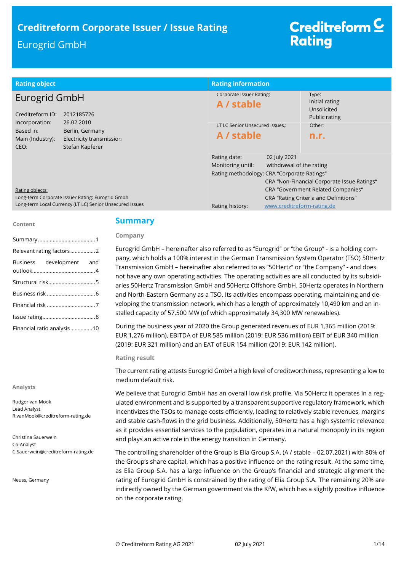| <b>Rating object</b>                                                                                                                    | <b>Rating information</b>                                                                                                    |                                                                                           |
|-----------------------------------------------------------------------------------------------------------------------------------------|------------------------------------------------------------------------------------------------------------------------------|-------------------------------------------------------------------------------------------|
| Eurogrid GmbH<br>Creditreform ID:<br>2012185726                                                                                         | Corporate Issuer Rating:<br>A / stable                                                                                       | Type:<br>Initial rating<br>Unsolicited<br>Public rating                                   |
| 26.02.2010<br>Incorporation:<br>Based in:<br>Berlin, Germany<br>Main (Industry):<br>Electricity transmission<br>Stefan Kapferer<br>CEO: | LT LC Senior Unsecured Issues.:<br>A / stable                                                                                | Other:<br>n.r.                                                                            |
|                                                                                                                                         | Rating date:<br>02 July 2021<br>withdrawal of the rating<br>Monitoring until:<br>Rating methodology: CRA "Corporate Ratings" | CRA "Non-Financial Corporate Issue Ratings"                                               |
| Rating objects:<br>Long-term Corporate Issuer Rating: Eurogrid Gmbh<br>Long-term Local Currency (LT LC) Senior Unsecured Issues         | www.creditreform-rating.de<br>Rating history:                                                                                | <b>CRA "Government Related Companies"</b><br><b>CRA "Rating Criteria and Definitions"</b> |

#### **Content**

|                            | Relevant rating factors2 |  |
|----------------------------|--------------------------|--|
|                            | Business development and |  |
|                            |                          |  |
|                            |                          |  |
|                            |                          |  |
|                            |                          |  |
| Financial ratio analysis10 |                          |  |

#### **Analysts**

Rudger van Mook Lead Analyst R.vanMook@creditreform-rating.de

Christina Sauerwein Co-Analyst C.Sauerwein@creditreform-rating.de

Neuss, Germany

## **Summary**

### **Company**

Eurogrid GmbH – hereinafter also referred to as ''Eurogrid'' or ''the Group'' - is a holding company, which holds a 100% interest in the German Transmission System Operator (TSO) 50Hertz Transmission GmbH – hereinafter also referred to as ''50Hertz'' or ''the Company'' - and does not have any own operating activities. The operating activities are all conducted by its subsidiaries 50Hertz Transmission GmbH and 50Hertz Offshore GmbH. 50Hertz operates in Northern and North-Eastern Germany as a TSO. Its activities encompass operating, maintaining and developing the transmission network, which has a length of approximately 10,490 km and an installed capacity of 57,500 MW (of which approximately 34,300 MW renewables).

During the business year of 2020 the Group generated revenues of EUR 1,365 million (2019: EUR 1,276 million), EBITDA of EUR 585 million (2019: EUR 536 million) EBIT of EUR 340 million (2019: EUR 321 million) and an EAT of EUR 154 million (2019: EUR 142 million).

#### **Rating result**

The current rating attests Eurogrid GmbH a high level of creditworthiness, representing a low to medium default risk.

We believe that Eurogrid GmbH has an overall low risk profile. Via 50Hertz it operates in a regulated environment and is supported by a transparent supportive regulatory framework, which incentivizes the TSOs to manage costs efficiently, leading to relatively stable revenues, margins and stable cash-flows in the grid business. Additionally, 50Hertz has a high systemic relevance as it provides essential services to the population, operates in a natural monopoly in its region and plays an active role in the energy transition in Germany.

The controlling shareholder of the Group is Elia Group S.A. (A / stable – 02.07.2021) with 80% of the Group's share capital, which has a positive influence on the rating result. At the same time, as Elia Group S.A. has a large influence on the Group's financial and strategic alignment the rating of Eurogrid GmbH is constrained by the rating of Elia Group S.A. The remaining 20% are indirectly owned by the German government via the KfW, which has a slightly positive influence on the corporate rating.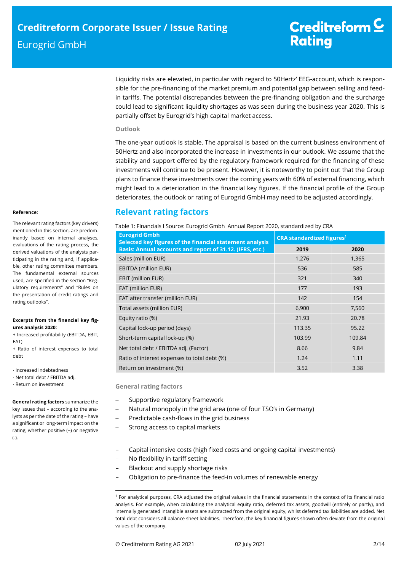Liquidity risks are elevated, in particular with regard to 50Hertz' EEG-account, which is responsible for the pre-financing of the market premium and potential gap between selling and feedin tariffs. The potential discrepancies between the pre-financing obligation and the surcharge could lead to significant liquidity shortages as was seen during the business year 2020. This is partially offset by Eurogrid's high capital market access.

### **Outlook**

The one-year outlook is stable. The appraisal is based on the current business environment of 50Hertz and also incorporated the increase in investments in our outlook. We assume that the stability and support offered by the regulatory framework required for the financing of these investments will continue to be present. However, it is noteworthy to point out that the Group plans to finance these investments over the coming years with 60% of external financing, which might lead to a deterioration in the financial key figures. If the financial profile of the Group deteriorates, the outlook or rating of Eurogrid GmbH may need to be adjusted accordingly.

# **Relevant rating factors**

Table 1: Financials I Source: Eurogrid Gmbh Annual Report 2020, standardized by CRA

| <b>Eurogrid Gmbh</b><br>Selected key figures of the financial statement analysis | <b>CRA standardized figures<sup>1</sup></b> |        |  |
|----------------------------------------------------------------------------------|---------------------------------------------|--------|--|
| Basis: Annual accounts and report of 31.12. (IFRS, etc.)                         | 2019                                        | 2020   |  |
| Sales (million EUR)                                                              | 1,276                                       | 1,365  |  |
| <b>EBITDA (million EUR)</b>                                                      | 536                                         | 585    |  |
| EBIT (million EUR)                                                               | 321                                         | 340    |  |
| EAT (million EUR)                                                                | 177                                         | 193    |  |
| EAT after transfer (million EUR)                                                 | 142                                         | 154    |  |
| Total assets (million EUR)                                                       | 6,900                                       | 7,560  |  |
| Equity ratio (%)                                                                 | 21.93                                       | 20.78  |  |
| Capital lock-up period (days)                                                    | 113.35                                      | 95.22  |  |
| Short-term capital lock-up (%)                                                   | 103.99                                      | 109.84 |  |
| Net total debt / EBITDA adj. (Factor)                                            | 8.66                                        | 9.84   |  |
| Ratio of interest expenses to total debt (%)                                     | 1.24                                        | 1.11   |  |
| Return on investment (%)                                                         | 3.52                                        | 3.38   |  |

**General rating factors**

- + Supportive regulatory framework
- Natural monopoly in the grid area (one of four TSO's in Germany)
- + Predictable cash-flows in the grid business
- Strong access to capital markets
- Capital intensive costs (high fixed costs and ongoing capital investments)
- No flexibility in tariff setting
- Blackout and supply shortage risks
- Obligation to pre-finance the feed-in volumes of renewable energy

#### **Reference:**

The relevant rating factors (key drivers) mentioned in this section, are predominantly based on internal analyses, evaluations of the rating process, the derived valuations of the analysts participating in the rating and, if applicable, other rating committee members. The fundamental external sources used, are specified in the section "Regulatory requirements" and "Rules on the presentation of credit ratings and rating outlooks".

#### **Excerpts from the financial key figures analysis 2020:**

+ Increased profitability (EBITDA, EBIT, EAT)

+ Ratio of interest expenses to total debt

- Increased indebtedness

- Net total debt / EBITDA adj.
- Return on investment

**General rating factors** summarize the key issues that – according to the analysts as per the date of the rating – have a significant or long-term impact on the rating, whether positive (+) or negative (-).

 $\overline{a}$ 

<sup>1</sup> For analytical purposes, CRA adjusted the original values in the financial statements in the context of its financial ratio analysis. For example, when calculating the analytical equity ratio, deferred tax assets, goodwill (entirely or partly), and internally generated intangible assets are subtracted from the original equity, whilst deferred tax liabilities are added. Net total debt considers all balance sheet liabilities. Therefore, the key financial figures shown often deviate from the original values of the company.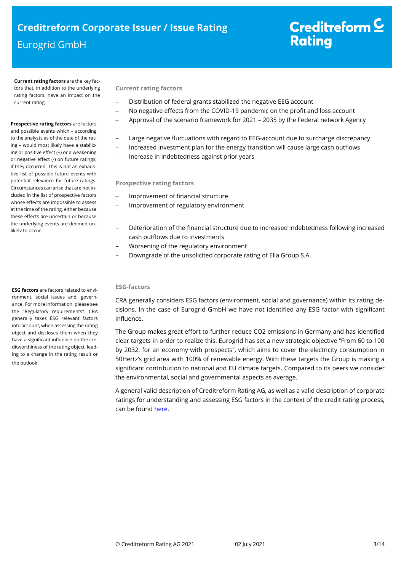**Current rating factors** are the key factors that, in addition to the underlying rating factors, have an impact on the current rating.

#### **Prospective rating factors** are factors and possible events which – according

to the analysts as of the date of the rating – would most likely have a stabilizing or positive effect (+) or a weakening or negative effect (-) on future ratings, if they occurred. This is not an exhaustive list of possible future events with potential relevance for future ratings. Circumstances can arise that are not included in the list of prospective factors whose effects are impossible to assess at the time of the rating, either because these effects are uncertain or because the underlying events are deemed unlikely to occur.

**ESG factors** are factors related to environment, social issues and, governance. For more information, please see the "Regulatory requirements". CRA generally takes ESG relevant factors into account, when assessing the rating object and discloses them when they have a significant influence on the creditworthiness of the rating object, leading to a change in the rating result or the outlook.

## **Current rating factors**

- Distribution of federal grants stabilized the negative EEG account
- No negative effects from the COVID-19 pandemic on the profit and loss account
- Approval of the scenario framework for 2021 2035 by the Federal network Agency
- Large negative fluctuations with regard to EEG-account due to surcharge discrepancy
- Increased investment plan for the energy transition will cause large cash outflows
- Increase in indebtedness against prior years

## **Prospective rating factors**

- Improvement of financial structure
- Improvement of regulatory environment
- Deterioration of the financial structure due to increased indebtedness following increased cash outflows due to investments
- Worsening of the regulatory environment
- Downgrade of the unsolicited corporate rating of Elia Group S.A.

## **ESG-factors**

CRA generally considers ESG factors (environment, social and governance) within its rating decisions. In the case of Eurogrid GmbH we have not identified any ESG factor with significant influence.

The Group makes great effort to further reduce CO2 emissions in Germany and has identified clear targets in order to realize this. Eurogrid has set a new strategic objective ''From 60 to 100 by 2032: for an economy with prospects'', which aims to cover the electricity consumption in 50Hertz's grid area with 100% of renewable energy. With these targets the Group is making a significant contribution to national and EU climate targets. Compared to its peers we consider the environmental, social and governmental aspects as average.

A general valid description of Creditreform Rating AG, as well as a valid description of corporate ratings for understanding and assessing ESG factors in the context of the credit rating process, can be foun[d here.](https://creditreform-rating.de/en/about-us/regulatory-requirements.html?file=files/content/downloads/Externes%20Rating/Regulatorische%20Anforderungen/EN/Ratingmethodiken%20EN/The%20Impact%20of%20ESG%20Factors%20on%20Credit%20Ratings.pdf)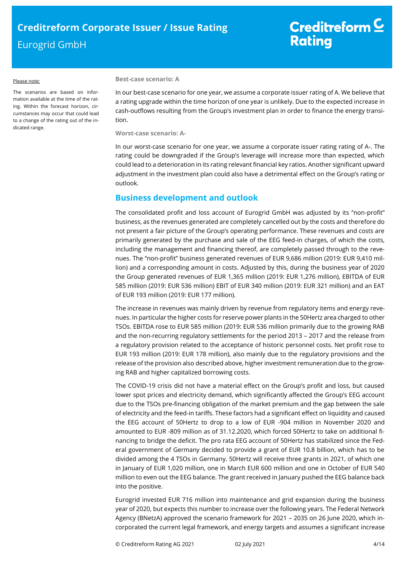#### Please note:

The scenarios are based on information available at the time of the rating. Within the forecast horizon, circumstances may occur that could lead to a change of the rating out of the indicated range.

#### **Best-case scenario: A**

In our best-case scenario for one year, we assume a corporate issuer rating of A. We believe that a rating upgrade within the time horizon of one year is unlikely. Due to the expected increase in cash-outflows resulting from the Group's investment plan in order to finance the energy transition.

**Worst-case scenario: A-**

In our worst-case scenario for one year, we assume a corporate issuer rating rating of A-. The rating could be downgraded if the Group's leverage will increase more than expected, which could lead to a deterioration in its rating relevant financial key ratios. Another significant upward adjustment in the investment plan could also have a detrimental effect on the Group's rating or outlook.

# **Business development and outlook**

The consolidated profit and loss account of Eurogrid GmbH was adjusted by its ''non-profit'' business, as the revenues generated are completely cancelled out by the costs and therefore do not present a fair picture of the Group's operating performance. These revenues and costs are primarily generated by the purchase and sale of the EEG feed-in charges, of which the costs, including the management and financing thereof, are completely passed through to the revenues. The ''non-profit'' business generated revenues of EUR 9,686 million (2019: EUR 9,410 million) and a corresponding amount in costs. Adjusted by this, during the business year of 2020 the Group generated revenues of EUR 1,365 million (2019: EUR 1,276 million), EBITDA of EUR 585 million (2019: EUR 536 million) EBIT of EUR 340 million (2019: EUR 321 million) and an EAT of EUR 193 million (2019: EUR 177 million).

The increase in revenues was mainly driven by revenue from regulatory items and energy revenues. In particular the higher costs for reserve power plants in the 50Hertz area charged to other TSOs. EBITDA rose to EUR 585 million (2019: EUR 536 million primarily due to the growing RAB and the non-recurring regulatory settlements for the period 2013 – 2017 and the release from a regulatory provision related to the acceptance of historic personnel costs. Net profit rose to EUR 193 million (2019: EUR 178 million), also mainly due to the regulatory provisions and the release of the provision also described above, higher investment remuneration due to the growing RAB and higher capitalized borrowing costs.

The COVID-19 crisis did not have a material effect on the Group's profit and loss, but caused lower spot prices and electricity demand, which significantly affected the Group's EEG account due to the TSOs pre-financing obligation of the market premium and the gap between the sale of electricity and the feed-in tariffs. These factors had a significant effect on liquidity and caused the EEG account of 50Hertz to drop to a low of EUR -904 million in November 2020 and amounted to EUR -809 million as of 31.12.2020, which forced 50Hertz to take on additional financing to bridge the deficit. The pro rata EEG account of 50Hertz has stabilized since the Federal government of Germany decided to provide a grant of EUR 10.8 billion, which has to be divided among the 4 TSOs in Germany. 50Hertz will receive three grants in 2021, of which one in January of EUR 1,020 million, one in March EUR 600 million and one in October of EUR 540 million to even out the EEG balance. The grant received in January pushed the EEG balance back into the positive.

Eurogrid invested EUR 716 million into maintenance and grid expansion during the business year of 2020, but expects this number to increase over the following years. The Federal Network Agency (BNetzA) approved the scenario framework for 2021 – 2035 on 26 June 2020, which incorporated the current legal framework, and energy targets and assumes a significant increase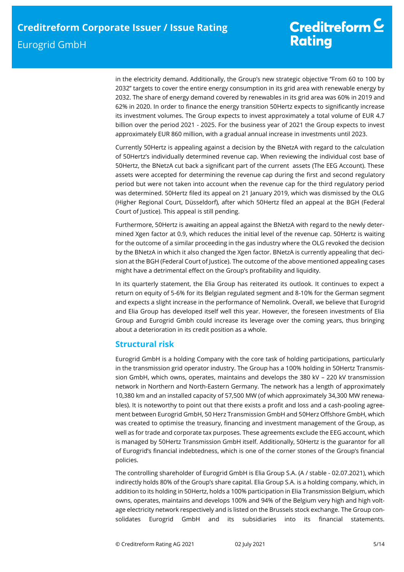in the electricity demand. Additionally, the Group's new strategic objective ''From 60 to 100 by 2032'' targets to cover the entire energy consumption in its grid area with renewable energy by 2032. The share of energy demand covered by renewables in its grid area was 60% in 2019 and 62% in 2020. In order to finance the energy transition 50Hertz expects to significantly increase its investment volumes. The Group expects to invest approximately a total volume of EUR 4.7 billion over the period 2021 - 2025. For the business year of 2021 the Group expects to invest approximately EUR 860 million, with a gradual annual increase in investments until 2023.

Currently 50Hertz is appealing against a decision by the BNetzA with regard to the calculation of 50Hertz's individually determined revenue cap. When reviewing the individual cost base of 50Hertz, the BNetzA cut back a significant part of the current assets (The EEG Account). These assets were accepted for determining the revenue cap during the first and second regulatory period but were not taken into account when the revenue cap for the third regulatory period was determined. 50Hertz filed its appeal on 21 January 2019, which was dismissed by the OLG (Higher Regional Court, Düsseldorf), after which 50Hertz filed an appeal at the BGH (Federal Court of Justice). This appeal is still pending.

Furthermore, 50Hertz is awaiting an appeal against the BNetzA with regard to the newly determined Xgen factor at 0.9, which reduces the initial level of the revenue cap. 50Hertz is waiting for the outcome of a similar proceeding in the gas industry where the OLG revoked the decision by the BNetzA in which it also changed the Xgen factor. BNetzA is currently appealing that decision at the BGH (Federal Court of Justice). The outcome of the above mentioned appealing cases might have a detrimental effect on the Group's profitability and liquidity.

In its quarterly statement, the Elia Group has reiterated its outlook. It continues to expect a return on equity of 5-6% for its Belgian regulated segment and 8-10% for the German segment and expects a slight increase in the performance of Nemolink. Overall, we believe that Eurogrid and Elia Group has developed itself well this year. However, the foreseen investments of Elia Group and Eurogrid Gmbh could increase its leverage over the coming years, thus bringing about a deterioration in its credit position as a whole.

# **Structural risk**

Eurogrid GmbH is a holding Company with the core task of holding participations, particularly in the transmission grid operator industry. The Group has a 100% holding in 50Hertz Transmission GmbH, which owns, operates, maintains and develops the 380 kV – 220 kV transmission network in Northern and North-Eastern Germany. The network has a length of approximately 10,380 km and an installed capacity of 57,500 MW (of which approximately 34,300 MW renewables). It is noteworthy to point out that there exists a profit and loss and a cash-pooling agreement between Eurogrid GmbH, 50 Herz Transmission GmbH and 50Herz Offshore GmbH, which was created to optimise the treasury, financing and investment management of the Group, as well as for trade and corporate tax purposes. These agreements exclude the EEG account, which is managed by 50Hertz Transmission GmbH itself. Additionally, 50Hertz is the guarantor for all of Eurogrid's financial indebtedness, which is one of the corner stones of the Group's financial policies.

The controlling shareholder of Eurogrid GmbH is Elia Group S.A. (A / stable - 02.07.2021), which indirectly holds 80% of the Group's share capital. Elia Group S.A. is a holding company, which, in addition to its holding in 50Hertz, holds a 100% participation in Elia Transmission Belgium, which owns, operates, maintains and develops 100% and 94% of the Belgium very high and high voltage electricity network respectively and is listed on the Brussels stock exchange. The Group consolidates Eurogrid GmbH and its subsidiaries into its financial statements.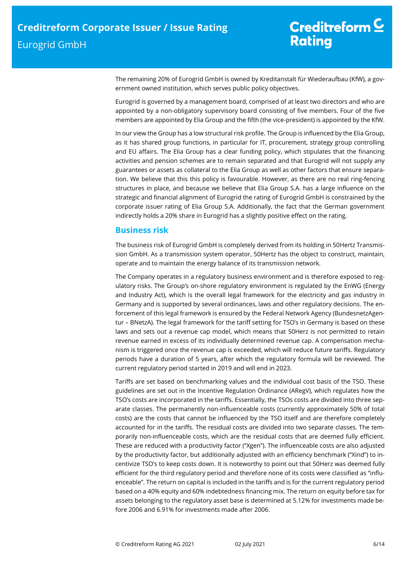The remaining 20% of Eurogrid GmbH is owned by Kreditanstalt für Wiederaufbau (KfW), a government owned institution, which serves public policy objectives.

Eurogrid is governed by a management board, comprised of at least two directors and who are appointed by a non-obligatory supervisory board consisting of five members. Four of the five members are appointed by Elia Group and the fifth (the vice-president) is appointed by the KfW.

In our view the Group has a low structural risk profile. The Group is influenced by the Elia Group, as it has shared group functions, in particular for IT, procurement, strategy group controlling and EU affairs. The Elia Group has a clear funding policy, which stipulates that the financing activities and pension schemes are to remain separated and that Eurogrid will not supply any guarantees or assets as collateral to the Elia Group as well as other factors that ensure separation. We believe that this this policy is favourable. However, as there are no real ring-fencing structures in place, and because we believe that Elia Group S.A. has a large influence on the strategic and financial alignment of Eurogrid the rating of Eurogrid GmbH is constrained by the corporate issuer rating of Elia Group S.A. Additionally, the fact that the German government indirectly holds a 20% share in Eurogrid has a slightly positive effect on the rating.

# **Business risk**

The business risk of Eurogrid GmbH is completely derived from its holding in 50Hertz Transmission GmbH. As a transmission system operator, 50Hertz has the object to construct, maintain, operate and to maintain the energy balance of its transmission network.

The Company operates in a regulatory business environment and is therefore exposed to regulatory risks. The Group's on-shore regulatory environment is regulated by the EnWG (Energy and Industry Act), which is the overall legal framework for the electricity and gas industry in Germany and is supported by several ordinances, laws and other regulatory decisions. The enforcement of this legal framework is ensured by the Federal Network Agency (BundesnetzAgentur – BNetzA). The legal framework for the tariff setting for TSO's in Germany is based on these laws and sets out a revenue cap model, which means that 50Herz is not permitted to retain revenue earned in excess of its individually determined revenue cap. A compensation mechanism is triggered once the revenue cap is exceeded, which will reduce future tariffs. Regulatory periods have a duration of 5 years, after which the regulatory formula will be reviewed. The current regulatory period started in 2019 and will end in 2023.

Tariffs are set based on benchmarking values and the individual cost basis of the TSO. These guidelines are set out in the Incentive Regulation Ordinance (ARegV), which regulates how the TSO's costs are incorporated in the tariffs. Essentially, the TSOs costs are divided into three separate classes. The permanently non-influenceable costs (currently approximately 50% of total costs) are the costs that cannot be influenced by the TSO itself and are therefore completely accounted for in the tariffs. The residual costs are divided into two separate classes. The temporarily non-influenceable costs, which are the residual costs that are deemed fully efficient. These are reduced with a productivity factor (''Xgen''). The influenceable costs are also adjusted by the productivity factor, but additionally adjusted with an efficiency benchmark ("Xind") to incentivize TSO's to keep costs down. It is noteworthy to point out that 50Herz was deemed fully efficient for the third regulatory period and therefore none of its costs were classified as ''influenceable''. The return on capital is included in the tariffs and is for the current regulatory period based on a 40% equity and 60% indebtedness financing mix. The return on equity before tax for assets belonging to the regulatory asset base is determined at 5.12% for investments made before 2006 and 6.91% for investments made after 2006.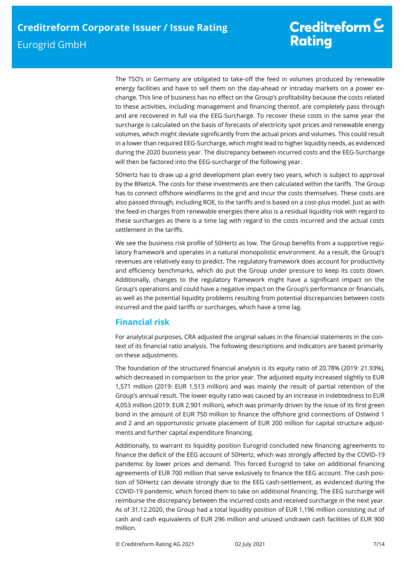# Creditreform  $\underline{\mathsf{C}}$ **Rating**

The TSO's in Germany are obligated to take-off the feed in volumes produced by renewable energy facilities and have to sell them on the day-ahead or intraday markets on a power exchange. This line of business has no effect on the Group's profitability because the costs related to these activities, including management and financing thereof, are completely pass through and are recovered in full via the EEG-Surcharge. To recover these costs in the same year the surcharge is calculated on the basis of forecasts of electricity spot prices and renewable energy volumes, which might deviate significantly from the actual prices and volumes. This could result in a lower than required EEG-Surcharge, which might lead to higher liquidity needs, as evidenced during the 2020 business year. The discrepancy between incurred costs and the EEG-Surcharge will then be factored into the EEG-surcharge of the following year.

50Hertz has to draw up a grid development plan every two years, which is subject to approval by the BNetzA. The costs for these investments are then calculated within the tariffs. The Group has to connect offshore windfarms to the grid and incur the costs themselves. These costs are also passed through, including ROE, to the tariffs and is based on a cost-plus model. Just as with the feed-in charges from renewable energies there also is a residual liquidity risk with regard to these surcharges as there is a time lag with regard to the costs incurred and the actual costs settlement in the tariffs.

We see the business risk profile of 50Hertz as low. The Group benefits from a supportive regulatory framework and operates in a natural monopolistic environment. As a result, the Group's revenues are relatively easy to predict. The regulatory framework does account for productivity and efficiency benchmarks, which do put the Group under pressure to keep its costs down. Additionally, changes to the regulatory framework might have a significant impact on the Group's operations and could have a negative impact on the Group's performance or financials, as well as the potential liquidity problems resulting from potential discrepancies between costs incurred and the paid tariffs or surcharges, which have a time lag.

# **Financial risk**

For analytical purposes, CRA adjusted the original values in the financial statements in the context of its financial ratio analysis. The following descriptions and indicators are based primarily on these adjustments.

The foundation of the structured financial analysis is its equity ratio of 20.78% (2019: 21.93%), which decreased in comparison to the prior year. The adjusted equity increased slightly to EUR 1,571 million (2019: EUR 1,513 million) and was mainly the result of partial retention of the Group's annual result. The lower equity ratio was caused by an increase in indebtedness to EUR 4,053 million (2019: EUR 2,901 million), which was primarily driven by the issue of its first green bond in the amount of EUR 750 million to finance the offshore grid connections of Ostwind 1 and 2 and an opportunistic private placement of EUR 200 million for capital structure adjustments and further capital expenditure financing.

Additionally, to warrant its liquidity position Eurogrid concluded new financing agreements to finance the deficit of the EEG account of 50Hertz, which was strongly affected by the COVID-19 pandemic by lower prices and demand. This forced Eurogrid to take on additional financing agreements of EUR 700 million that serve exlusively to finance the EEG account. The cash position of 50Hertz can deviate strongly due to the EEG cash-settlement, as evidenced during the COVID-19 pandemic, which forced them to take on additional financing. The EEG surcharge will reimburse the discrepancy between the incurred costs and received surcharge in the next year. As of 31.12.2020, the Group had a total liquidity position of EUR 1,196 million consisting out of cash and cash equivalents of EUR 296 million and unused undrawn cash facilities of EUR 900 million.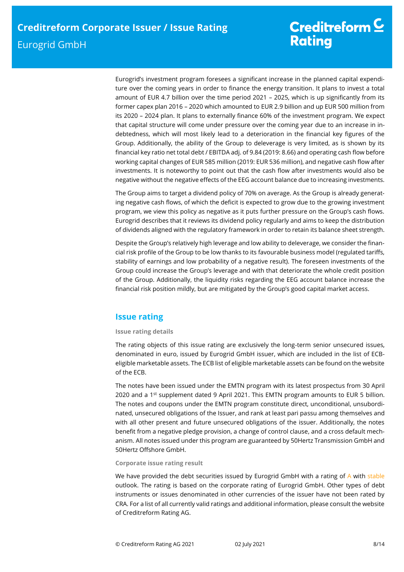Eurogrid's investment program foresees a significant increase in the planned capital expenditure over the coming years in order to finance the energy transition. It plans to invest a total amount of EUR 4.7 billion over the time period 2021 – 2025, which is up significantly from its former capex plan 2016 – 2020 which amounted to EUR 2.9 billion and up EUR 500 million from its 2020 – 2024 plan. It plans to externally finance 60% of the investment program. We expect that capital structure will come under pressure over the coming year due to an increase in indebtedness, which will most likely lead to a deterioration in the financial key figures of the Group. Additionally, the ability of the Group to deleverage is very limited, as is shown by its financial key ratio net total debt / EBITDA adj. of 9.84 (2019: 8.66) and operating cash flow before working capital changes of EUR 585 million (2019: EUR 536 million), and negative cash flow after investments. It is noteworthy to point out that the cash flow after investments would also be negative without the negative effects of the EEG account balance due to increasing investments.

The Group aims to target a dividend policy of 70% on average. As the Group is already generating negative cash flows, of which the deficit is expected to grow due to the growing investment program, we view this policy as negative as it puts further pressure on the Group's cash flows. Eurogrid describes that it reviews its dividend policy regularly and aims to keep the distribution of dividends aligned with the regulatory framework in order to retain its balance sheet strength.

Despite the Group's relatively high leverage and low ability to deleverage, we consider the financial risk profile of the Group to be low thanks to its favourable business model (regulated tariffs, stability of earnings and low probability of a negative result). The foreseen investments of the Group could increase the Group's leverage and with that deteriorate the whole credit position of the Group. Additionally, the liquidity risks regarding the EEG account balance increase the financial risk position mildly, but are mitigated by the Group's good capital market access.

# **Issue rating**

## **Issue rating details**

The rating objects of this issue rating are exclusively the long-term senior unsecured issues, denominated in euro, issued by Eurogrid GmbH issuer, which are included in the list of ECBeligible marketable assets. The ECB list of eligible marketable assets can be found on the website of the ECB.

The notes have been issued under the EMTN program with its latest prospectus from 30 April 2020 and a 1st supplement dated 9 April 2021. This EMTN program amounts to EUR 5 billion. The notes and coupons under the EMTN program constitute direct, unconditional, unsubordinated, unsecured obligations of the Issuer, and rank at least pari passu among themselves and with all other present and future unsecured obligations of the issuer. Additionally, the notes benefit from a negative pledge provision, a change of control clause, and a cross default mechanism. All notes issued under this program are guaranteed by 50Hertz Transmission GmbH and 50Hertz Offshore GmbH.

## **Corporate issue rating result**

We have provided the debt securities issued by Eurogrid GmbH with a rating of A with stable outlook. The rating is based on the corporate rating of Eurogrid GmbH. Other types of debt instruments or issues denominated in other currencies of the issuer have not been rated by CRA. For a list of all currently valid ratings and additional information, please consult the website of Creditreform Rating AG.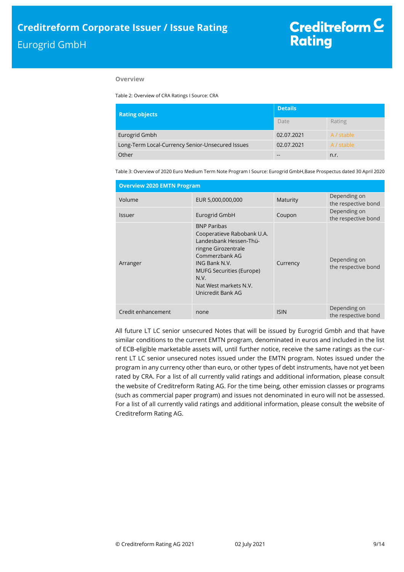### **Overview**

Table 2: Overview of CRA Ratings I Source: CRA

| <b>Rating objects</b>                            | <b>Details</b> |            |  |  |
|--------------------------------------------------|----------------|------------|--|--|
|                                                  | Date           | Rating     |  |  |
| Eurogrid Gmbh                                    | 02.07.2021     | A / stable |  |  |
| Long-Term Local-Currency Senior-Unsecured Issues | 02.07.2021     | A / stable |  |  |
| Other                                            | --             | n.r.       |  |  |

Table 3: Overview of 2020 Euro Medium Term Note Program I Source: Eurogrid GmbH,Base Prospectus dated 30 April 2020

| <b>Overview 2020 EMTN Program</b> |                                                                                                                                                                                                                               |             |                                     |
|-----------------------------------|-------------------------------------------------------------------------------------------------------------------------------------------------------------------------------------------------------------------------------|-------------|-------------------------------------|
| Volume                            | EUR 5,000,000,000                                                                                                                                                                                                             | Maturity    | Depending on<br>the respective bond |
| <b>Issuer</b>                     | Eurogrid GmbH                                                                                                                                                                                                                 | Coupon      | Depending on<br>the respective bond |
| Arranger                          | <b>BNP Paribas</b><br>Cooperatieve Rabobank U.A.<br>Landesbank Hessen-Thü-<br>ringne Girozentrale<br>Commerzbank AG<br>ING Bank N.V.<br><b>MUFG Securities (Europe)</b><br>N.V.<br>Nat West markets N.V.<br>Unicredit Bank AG | Currency    | Depending on<br>the respective bond |
| Credit enhancement                | none                                                                                                                                                                                                                          | <b>ISIN</b> | Depending on<br>the respective bond |

All future LT LC senior unsecured Notes that will be issued by Eurogrid Gmbh and that have similar conditions to the current EMTN program, denominated in euros and included in the list of ECB-eligible marketable assets will, until further notice, receive the same ratings as the current LT LC senior unsecured notes issued under the EMTN program. Notes issued under the program in any currency other than euro, or other types of debt instruments, have not yet been rated by CRA. For a list of all currently valid ratings and additional information, please consult the website of Creditreform Rating AG. For the time being, other emission classes or programs (such as commercial paper program) and issues not denominated in euro will not be assessed. For a list of all currently valid ratings and additional information, please consult the website of Creditreform Rating AG.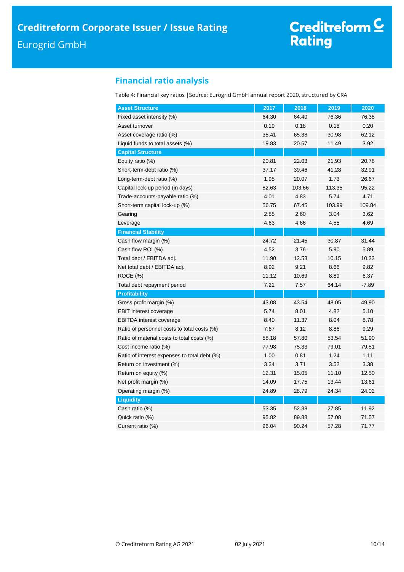# **Financial ratio analysis**

Table 4: Financial key ratios |Source: Eurogrid GmbH annual report 2020, structured by CRA

| <b>Asset Structure</b>                       | 2017  | 2018   | 2019   | 2020    |
|----------------------------------------------|-------|--------|--------|---------|
| Fixed asset intensity (%)                    | 64.30 | 64.40  | 76.36  | 76.38   |
| Asset turnover                               | 0.19  | 0.18   | 0.18   | 0.20    |
| Asset coverage ratio (%)                     | 35.41 | 65.38  | 30.98  | 62.12   |
| Liquid funds to total assets (%)             | 19.83 | 20.67  | 11.49  | 3.92    |
| <b>Capital Structure</b>                     |       |        |        |         |
| Equity ratio (%)                             | 20.81 | 22.03  | 21.93  | 20.78   |
| Short-term-debt ratio (%)                    | 37.17 | 39.46  | 41.28  | 32.91   |
| Long-term-debt ratio (%)                     | 1.95  | 20.07  | 1.73   | 26.67   |
| Capital lock-up period (in days)             | 82.63 | 103.66 | 113.35 | 95.22   |
| Trade-accounts-payable ratio (%)             | 4.01  | 4.83   | 5.74   | 4.71    |
| Short-term capital lock-up (%)               | 56.75 | 67.45  | 103.99 | 109.84  |
| Gearing                                      | 2.85  | 2.60   | 3.04   | 3.62    |
| Leverage                                     | 4.63  | 4.66   | 4.55   | 4.69    |
| <b>Financial Stability</b>                   |       |        |        |         |
| Cash flow margin (%)                         | 24.72 | 21.45  | 30.87  | 31.44   |
| Cash flow ROI (%)                            | 4.52  | 3.76   | 5.90   | 5.89    |
| Total debt / EBITDA adj.                     | 11.90 | 12.53  | 10.15  | 10.33   |
| Net total debt / EBITDA adj.                 | 8.92  | 9.21   | 8.66   | 9.82    |
| ROCE (%)                                     | 11.12 | 10.69  | 8.89   | 6.37    |
| Total debt repayment period                  | 7.21  | 7.57   | 64.14  | $-7.89$ |
| <b>Profitability</b>                         |       |        |        |         |
| Gross profit margin (%)                      | 43.08 | 43.54  | 48.05  | 49.90   |
| <b>EBIT</b> interest coverage                | 5.74  | 8.01   | 4.82   | 5.10    |
| <b>EBITDA</b> interest coverage              | 8.40  | 11.37  | 8.04   | 8.78    |
| Ratio of personnel costs to total costs (%)  | 7.67  | 8.12   | 8.86   | 9.29    |
| Ratio of material costs to total costs (%)   | 58.18 | 57.80  | 53.54  | 51.90   |
| Cost income ratio (%)                        | 77.98 | 75.33  | 79.01  | 79.51   |
| Ratio of interest expenses to total debt (%) | 1.00  | 0.81   | 1.24   | 1.11    |
| Return on investment (%)                     | 3.34  | 3.71   | 3.52   | 3.38    |
| Return on equity (%)                         | 12.31 | 15.05  | 11.10  | 12.50   |
| Net profit margin (%)                        | 14.09 | 17.75  | 13.44  | 13.61   |
| Operating margin (%)                         | 24.89 | 28.79  | 24.34  | 24.02   |
| <b>Liquidity</b>                             |       |        |        |         |
| Cash ratio (%)                               | 53.35 | 52.38  | 27.85  | 11.92   |
| Quick ratio (%)                              | 95.82 | 89.88  | 57.08  | 71.57   |
| Current ratio (%)                            | 96.04 | 90.24  | 57.28  | 71.77   |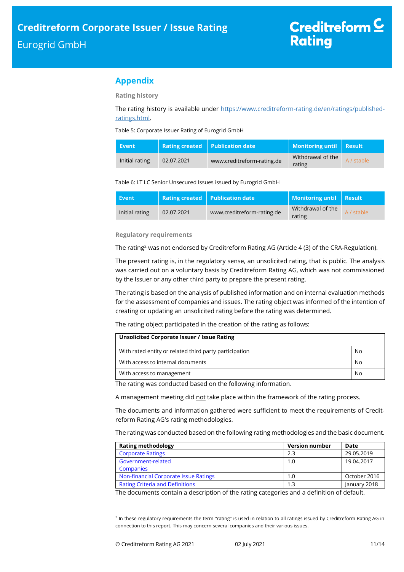# **Appendix**

**Rating history**

The rating history is available under [https://www.creditreform-rating.de/en/ratings/published](https://www.creditreform-rating.de/en/ratings/published-ratings.html)[ratings.html.](https://www.creditreform-rating.de/en/ratings/published-ratings.html)

Table 5: Corporate Issuer Rating of Eurogrid GmbH

| Event          |            | Rating created   Publication date | Monitoring until   Result   |            |
|----------------|------------|-----------------------------------|-----------------------------|------------|
| Initial rating | 02.07.2021 | www.creditreform-rating.de        | Withdrawal of the<br>rating | A / stable |

### Table 6: LT LC Senior Unsecured Issues issued by Eurogrid GmbH

| Event          |            | <b>Rating created Publication date</b> | Monitoring until   Result   |            |
|----------------|------------|----------------------------------------|-----------------------------|------------|
| Initial rating | 02.07.2021 | www.creditreform-rating.de             | Withdrawal of the<br>rating | A / stable |

### **Regulatory requirements**

The rating<sup>2</sup> was not endorsed by Creditreform Rating AG (Article 4 (3) of the CRA-Regulation).

The present rating is, in the regulatory sense, an unsolicited rating, that is public. The analysis was carried out on a voluntary basis by Creditreform Rating AG, which was not commissioned by the Issuer or any other third party to prepare the present rating.

The rating is based on the analysis of published information and on internal evaluation methods for the assessment of companies and issues. The rating object was informed of the intention of creating or updating an unsolicited rating before the rating was determined.

The rating object participated in the creation of the rating as follows:

| Unsolicited Corporate Issuer / Issue Rating            |    |
|--------------------------------------------------------|----|
| With rated entity or related third party participation | No |
| With access to internal documents                      | No |
| With access to management                              | No |

The rating was conducted based on the following information.

A management meeting did not take place within the framework of the rating process.

The documents and information gathered were sufficient to meet the requirements of Creditreform Rating AG's rating methodologies.

The rating was conducted based on the following rating methodologies and the basic document.

| <b>Rating methodology</b>              | <b>Version number</b> | Date         |
|----------------------------------------|-----------------------|--------------|
| <b>Corporate Ratings</b>               | 2.3                   | 29.05.2019   |
| Government-related                     | 1.0                   | 19.04.2017   |
| <b>Companies</b>                       |                       |              |
| Non-financial Corporate Issue Ratings  | 1.0                   | October 2016 |
| <b>Rating Criteria and Definitions</b> | . .3                  | January 2018 |

The documents contain a description of the rating categories and a definition of default.

 $\overline{a}$ 

<sup>&</sup>lt;sup>2</sup> In these regulatory requirements the term "rating" is used in relation to all ratings issued by Creditreform Rating AG in connection to this report. This may concern several companies and their various issues.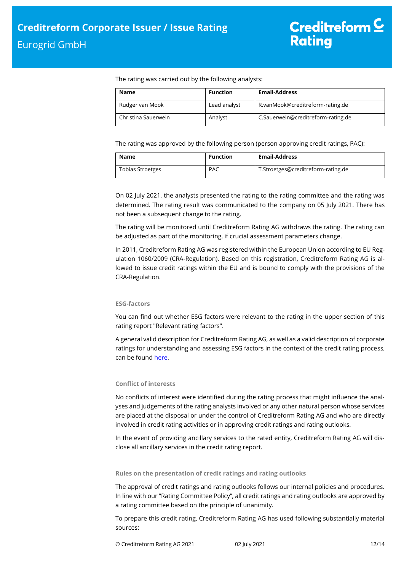The rating was carried out by the following analysts:

| Name                | <b>Function</b> | <b>Email-Address</b>               |
|---------------------|-----------------|------------------------------------|
| Rudger van Mook     | Lead analyst    | R.vanMook@creditreform-rating.de   |
| Christina Sauerwein | Analyst         | C.Sauerwein@creditreform-rating.de |

The rating was approved by the following person (person approving credit ratings, PAC):

| Name                    | <b>Function</b> | <b>Email-Address</b>               |
|-------------------------|-----------------|------------------------------------|
| <b>Tobias Stroetges</b> | <b>PAC</b>      | T.Stroetges@creditreform-rating.de |

On 02 July 2021, the analysts presented the rating to the rating committee and the rating was determined. The rating result was communicated to the company on 05 July 2021. There has not been a subsequent change to the rating.

The rating will be monitored until Creditreform Rating AG withdraws the rating. The rating can be adjusted as part of the monitoring, if crucial assessment parameters change.

In 2011, Creditreform Rating AG was registered within the European Union according to EU Regulation 1060/2009 (CRA-Regulation). Based on this registration, Creditreform Rating AG is allowed to issue credit ratings within the EU and is bound to comply with the provisions of the CRA-Regulation.

### **ESG-factors**

You can find out whether ESG factors were relevant to the rating in the upper section of this rating report "Relevant rating factors".

A general valid description for Creditreform Rating AG, as well as a valid description of corporate ratings for understanding and assessing ESG factors in the context of the credit rating process, can be foun[d here.](https://creditreform-rating.de/en/about-us/regulatory-requirements.html?file=files/content/downloads/Externes%20Rating/Regulatorische%20Anforderungen/EN/Ratingmethodiken%20EN/The%20Impact%20of%20ESG%20Factors%20on%20Credit%20Ratings.pdf)

## **Conflict of interests**

No conflicts of interest were identified during the rating process that might influence the analyses and judgements of the rating analysts involved or any other natural person whose services are placed at the disposal or under the control of Creditreform Rating AG and who are directly involved in credit rating activities or in approving credit ratings and rating outlooks.

In the event of providing ancillary services to the rated entity, Creditreform Rating AG will disclose all ancillary services in the credit rating report.

### **Rules on the presentation of credit ratings and rating outlooks**

The approval of credit ratings and rating outlooks follows our internal policies and procedures. In line with our "Rating Committee Policy", all credit ratings and rating outlooks are approved by a rating committee based on the principle of unanimity.

To prepare this credit rating, Creditreform Rating AG has used following substantially material sources: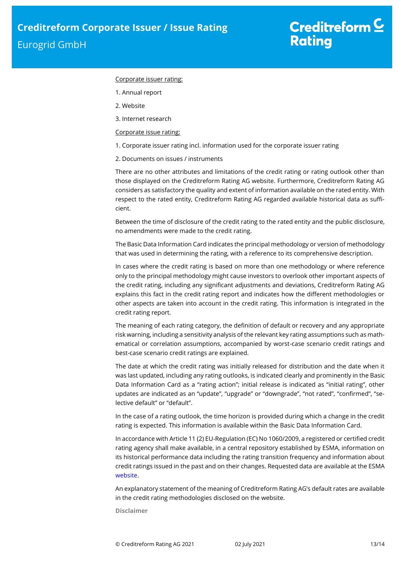#### Corporate issuer rating:

- 1. Annual report
- 2. Website
- 3. Internet research

### Corporate issue rating:

- 1. Corporate issuer rating incl. information used for the corporate issuer rating
- 2. Documents on issues / instruments

There are no other attributes and limitations of the credit rating or rating outlook other than those displayed on the Creditreform Rating AG website. Furthermore, Creditreform Rating AG considers as satisfactory the quality and extent of information available on the rated entity. With respect to the rated entity, Creditreform Rating AG regarded available historical data as sufficient.

Between the time of disclosure of the credit rating to the rated entity and the public disclosure, no amendments were made to the credit rating.

The Basic Data Information Card indicates the principal methodology or version of methodology that was used in determining the rating, with a reference to its comprehensive description.

In cases where the credit rating is based on more than one methodology or where reference only to the principal methodology might cause investors to overlook other important aspects of the credit rating, including any significant adjustments and deviations, Creditreform Rating AG explains this fact in the credit rating report and indicates how the different methodologies or other aspects are taken into account in the credit rating. This information is integrated in the credit rating report.

The meaning of each rating category, the definition of default or recovery and any appropriate risk warning, including a sensitivity analysis of the relevant key rating assumptions such as mathematical or correlation assumptions, accompanied by worst-case scenario credit ratings and best-case scenario credit ratings are explained.

The date at which the credit rating was initially released for distribution and the date when it was last updated, including any rating outlooks, is indicated clearly and prominently in the Basic Data Information Card as a "rating action"; initial release is indicated as "initial rating", other updates are indicated as an "update", "upgrade" or "downgrade", "not rated", "confirmed", "selective default" or "default".

In the case of a rating outlook, the time horizon is provided during which a change in the credit rating is expected. This information is available within the Basic Data Information Card.

In accordance with Article 11 (2) EU-Regulation (EC) No 1060/2009, a registered or certified credit rating agency shall make available, in a central repository established by ESMA, information on its historical performance data including the rating transition frequency and information about credit ratings issued in the past and on their changes. Requested data are available at the ESMA [website.](https://cerep.esma.europa.eu/cerep-web/statistics/defaults.xhtml)

An explanatory statement of the meaning of Creditreform Rating AG's default rates are available in the credit rating methodologies disclosed on the website.

**Disclaimer**